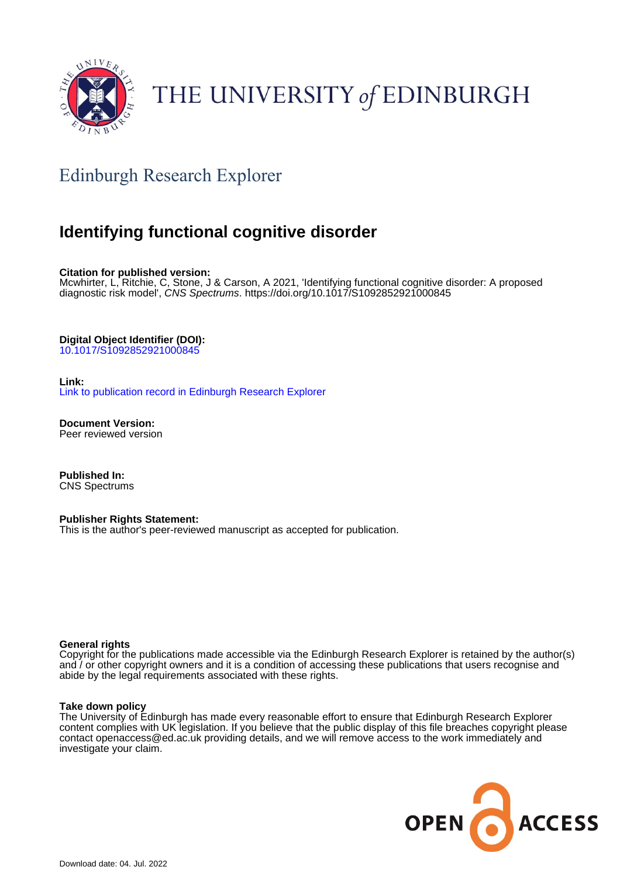

# THE UNIVERSITY of EDINBURGH

# Edinburgh Research Explorer

# **Identifying functional cognitive disorder**

**Citation for published version:**

Mcwhirter, L, Ritchie, C, Stone, J & Carson, A 2021, 'Identifying functional cognitive disorder: A proposed diagnostic risk model', CNS Spectrums.<https://doi.org/10.1017/S1092852921000845>

**Digital Object Identifier (DOI):**

[10.1017/S1092852921000845](https://doi.org/10.1017/S1092852921000845)

#### **Link:**

[Link to publication record in Edinburgh Research Explorer](https://www.research.ed.ac.uk/en/publications/e2d7b69c-1f1f-4217-aa17-e68383c1d567)

**Document Version:** Peer reviewed version

**Published In:** CNS Spectrums

#### **Publisher Rights Statement:**

This is the author's peer-reviewed manuscript as accepted for publication.

#### **General rights**

Copyright for the publications made accessible via the Edinburgh Research Explorer is retained by the author(s) and / or other copyright owners and it is a condition of accessing these publications that users recognise and abide by the legal requirements associated with these rights.

#### **Take down policy**

The University of Edinburgh has made every reasonable effort to ensure that Edinburgh Research Explorer content complies with UK legislation. If you believe that the public display of this file breaches copyright please contact openaccess@ed.ac.uk providing details, and we will remove access to the work immediately and investigate your claim.

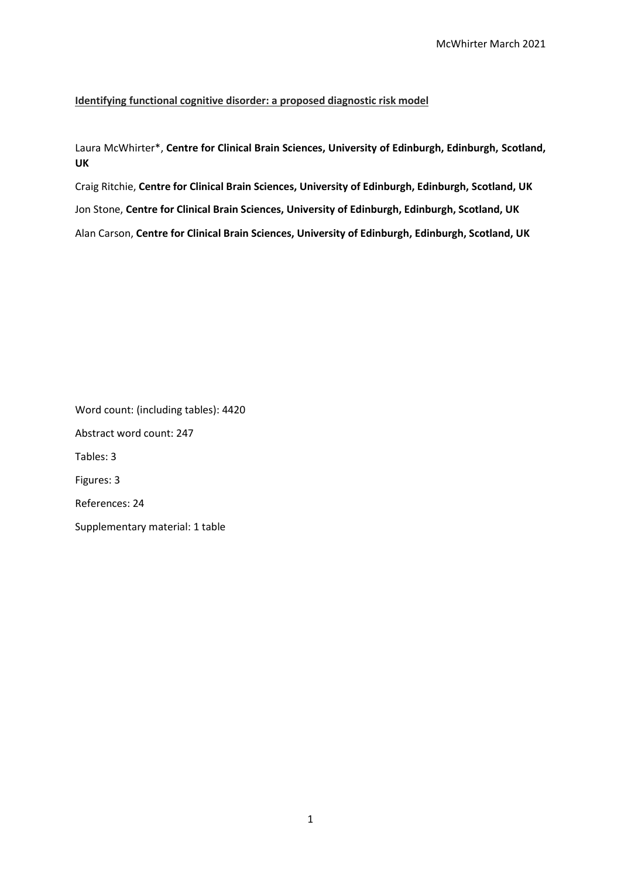#### **Identifying functional cognitive disorder: a proposed diagnostic risk model**

Laura McWhirter\*, **Centre for Clinical Brain Sciences, University of Edinburgh, Edinburgh, Scotland, UK**

Craig Ritchie, **Centre for Clinical Brain Sciences, University of Edinburgh, Edinburgh, Scotland, UK** Jon Stone, **Centre for Clinical Brain Sciences, University of Edinburgh, Edinburgh, Scotland, UK** Alan Carson, **Centre for Clinical Brain Sciences, University of Edinburgh, Edinburgh, Scotland, UK**

Word count: (including tables): 4420 Abstract word count: 247 Tables: 3 Figures: 3 References: 24 Supplementary material: 1 table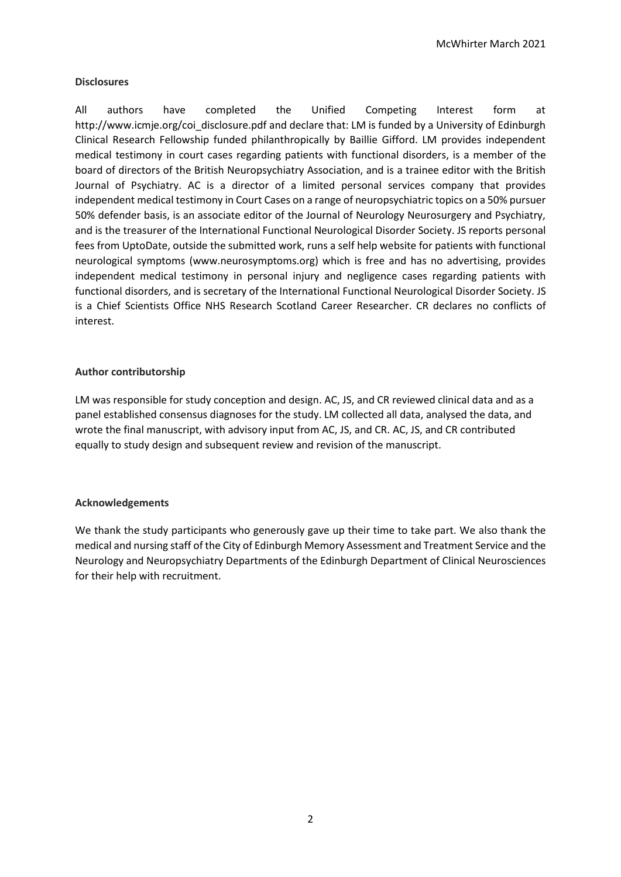#### **Disclosures**

All authors have completed the Unified Competing Interest form at http://www.icmje.org/coi\_disclosure.pdf and declare that: LM is funded by a University of Edinburgh Clinical Research Fellowship funded philanthropically by Baillie Gifford. LM provides independent medical testimony in court cases regarding patients with functional disorders, is a member of the board of directors of the British Neuropsychiatry Association, and is a trainee editor with the British Journal of Psychiatry. AC is a director of a limited personal services company that provides independent medical testimony in Court Cases on a range of neuropsychiatric topics on a 50% pursuer 50% defender basis, is an associate editor of the Journal of Neurology Neurosurgery and Psychiatry, and is the treasurer of the International Functional Neurological Disorder Society. JS reports personal fees from UptoDate, outside the submitted work, runs a self help website for patients with functional neurological symptoms (www.neurosymptoms.org) which is free and has no advertising, provides independent medical testimony in personal injury and negligence cases regarding patients with functional disorders, and is secretary of the International Functional Neurological Disorder Society. JS is a Chief Scientists Office NHS Research Scotland Career Researcher. CR declares no conflicts of interest.

### **Author contributorship**

LM was responsible for study conception and design. AC, JS, and CR reviewed clinical data and as a panel established consensus diagnoses for the study. LM collected all data, analysed the data, and wrote the final manuscript, with advisory input from AC, JS, and CR. AC, JS, and CR contributed equally to study design and subsequent review and revision of the manuscript.

#### **Acknowledgements**

We thank the study participants who generously gave up their time to take part. We also thank the medical and nursing staff of the City of Edinburgh Memory Assessment and Treatment Service and the Neurology and Neuropsychiatry Departments of the Edinburgh Department of Clinical Neurosciences for their help with recruitment.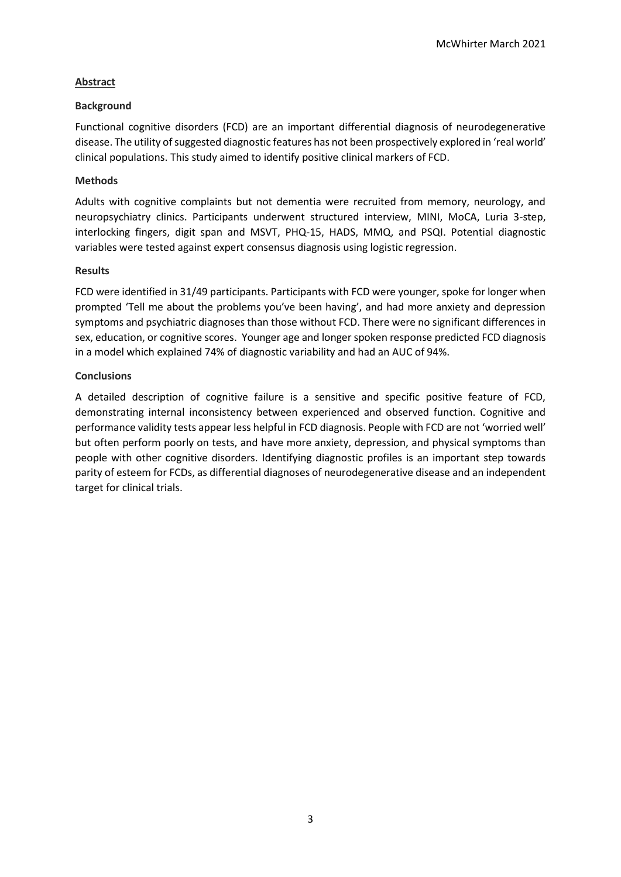## **Abstract**

#### **Background**

Functional cognitive disorders (FCD) are an important differential diagnosis of neurodegenerative disease. The utility of suggested diagnostic features has not been prospectively explored in 'real world' clinical populations. This study aimed to identify positive clinical markers of FCD.

### **Methods**

Adults with cognitive complaints but not dementia were recruited from memory, neurology, and neuropsychiatry clinics. Participants underwent structured interview, MINI, MoCA, Luria 3-step, interlocking fingers, digit span and MSVT, PHQ-15, HADS, MMQ, and PSQI. Potential diagnostic variables were tested against expert consensus diagnosis using logistic regression.

#### **Results**

FCD were identified in 31/49 participants. Participants with FCD were younger, spoke for longer when prompted 'Tell me about the problems you've been having', and had more anxiety and depression symptoms and psychiatric diagnoses than those without FCD. There were no significant differences in sex, education, or cognitive scores. Younger age and longer spoken response predicted FCD diagnosis in a model which explained 74% of diagnostic variability and had an AUC of 94%.

### **Conclusions**

A detailed description of cognitive failure is a sensitive and specific positive feature of FCD, demonstrating internal inconsistency between experienced and observed function. Cognitive and performance validity tests appear less helpful in FCD diagnosis. People with FCD are not 'worried well' but often perform poorly on tests, and have more anxiety, depression, and physical symptoms than people with other cognitive disorders. Identifying diagnostic profiles is an important step towards parity of esteem for FCDs, as differential diagnoses of neurodegenerative disease and an independent target for clinical trials.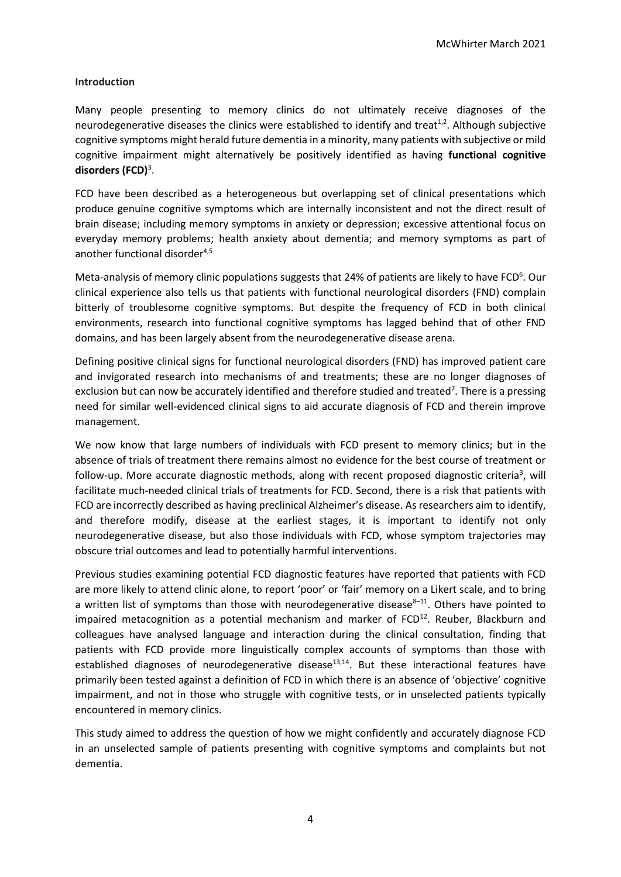#### **Introduction**

Many people presenting to memory clinics do not ultimately receive diagnoses of the neurodegenerative diseases the clinics were established to identify and treat<sup>1,2</sup>. Although subjective cognitive symptoms might herald future dementia in a minority, many patients with subjective or mild cognitive impairment might alternatively be positively identified as having **functional cognitive disorders (FCD)**<sup>3</sup> .

FCD have been described as a heterogeneous but overlapping set of clinical presentations which produce genuine cognitive symptoms which are internally inconsistent and not the direct result of brain disease; including memory symptoms in anxiety or depression; excessive attentional focus on everyday memory problems; health anxiety about dementia; and memory symptoms as part of another functional disorder $4,5$ 

Meta-analysis of memory clinic populations suggests that 24% of patients are likely to have FCD<sup>6</sup>. Our clinical experience also tells us that patients with functional neurological disorders (FND) complain bitterly of troublesome cognitive symptoms. But despite the frequency of FCD in both clinical environments, research into functional cognitive symptoms has lagged behind that of other FND domains, and has been largely absent from the neurodegenerative disease arena.

Defining positive clinical signs for functional neurological disorders (FND) has improved patient care and invigorated research into mechanisms of and treatments; these are no longer diagnoses of exclusion but can now be accurately identified and therefore studied and treated<sup>7</sup>. There is a pressing need for similar well-evidenced clinical signs to aid accurate diagnosis of FCD and therein improve management.

We now know that large numbers of individuals with FCD present to memory clinics; but in the absence of trials of treatment there remains almost no evidence for the best course of treatment or follow-up. More accurate diagnostic methods, along with recent proposed diagnostic criteria<sup>3</sup>, will facilitate much-needed clinical trials of treatments for FCD. Second, there is a risk that patients with FCD are incorrectly described as having preclinical Alzheimer's disease. As researchers aim to identify, and therefore modify, disease at the earliest stages, it is important to identify not only neurodegenerative disease, but also those individuals with FCD, whose symptom trajectories may obscure trial outcomes and lead to potentially harmful interventions.

Previous studies examining potential FCD diagnostic features have reported that patients with FCD are more likely to attend clinic alone, to report 'poor' or 'fair' memory on a Likert scale, and to bring a written list of symptoms than those with neurodegenerative disease $8-11$ . Others have pointed to impaired metacognition as a potential mechanism and marker of  $FCD<sup>12</sup>$ . Reuber, Blackburn and colleagues have analysed language and interaction during the clinical consultation, finding that patients with FCD provide more linguistically complex accounts of symptoms than those with established diagnoses of neurodegenerative disease<sup>13,14</sup>. But these interactional features have primarily been tested against a definition of FCD in which there is an absence of 'objective' cognitive impairment, and not in those who struggle with cognitive tests, or in unselected patients typically encountered in memory clinics.

This study aimed to address the question of how we might confidently and accurately diagnose FCD in an unselected sample of patients presenting with cognitive symptoms and complaints but not dementia.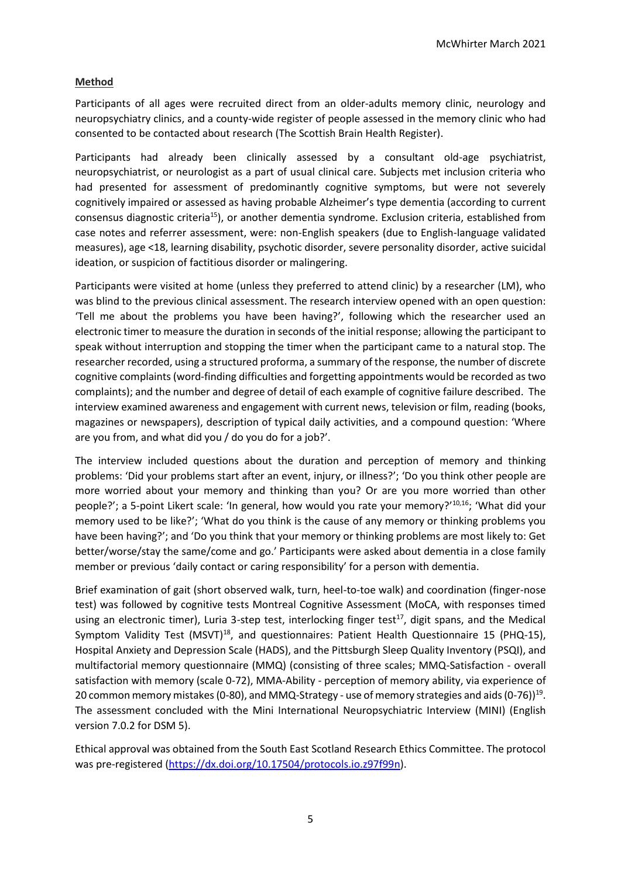# **Method**

Participants of all ages were recruited direct from an older-adults memory clinic, neurology and neuropsychiatry clinics, and a county-wide register of people assessed in the memory clinic who had consented to be contacted about research (The Scottish Brain Health Register).

Participants had already been clinically assessed by a consultant old-age psychiatrist, neuropsychiatrist, or neurologist as a part of usual clinical care. Subjects met inclusion criteria who had presented for assessment of predominantly cognitive symptoms, but were not severely cognitively impaired or assessed as having probable Alzheimer's type dementia (according to current consensus diagnostic criteria<sup>15</sup>), or another dementia syndrome. Exclusion criteria, established from case notes and referrer assessment, were: non-English speakers (due to English-language validated measures), age <18, learning disability, psychotic disorder, severe personality disorder, active suicidal ideation, or suspicion of factitious disorder or malingering.

Participants were visited at home (unless they preferred to attend clinic) by a researcher (LM), who was blind to the previous clinical assessment. The research interview opened with an open question: 'Tell me about the problems you have been having?', following which the researcher used an electronic timer to measure the duration in seconds of the initial response; allowing the participant to speak without interruption and stopping the timer when the participant came to a natural stop. The researcher recorded, using a structured proforma, a summary of the response, the number of discrete cognitive complaints (word-finding difficulties and forgetting appointments would be recorded as two complaints); and the number and degree of detail of each example of cognitive failure described. The interview examined awareness and engagement with current news, television or film, reading (books, magazines or newspapers), description of typical daily activities, and a compound question: 'Where are you from, and what did you / do you do for a job?'.

The interview included questions about the duration and perception of memory and thinking problems: 'Did your problems start after an event, injury, or illness?'; 'Do you think other people are more worried about your memory and thinking than you? Or are you more worried than other people?'; a 5-point Likert scale: 'In general, how would you rate your memory?'10,16; 'What did your memory used to be like?'; 'What do you think is the cause of any memory or thinking problems you have been having?'; and 'Do you think that your memory or thinking problems are most likely to: Get better/worse/stay the same/come and go.' Participants were asked about dementia in a close family member or previous 'daily contact or caring responsibility' for a person with dementia.

Brief examination of gait (short observed walk, turn, heel-to-toe walk) and coordination (finger-nose test) was followed by cognitive tests Montreal Cognitive Assessment (MoCA, with responses timed using an electronic timer), Luria 3-step test, interlocking finger test<sup>17</sup>, digit spans, and the Medical Symptom Validity Test (MSVT)<sup>18</sup>, and questionnaires: Patient Health Questionnaire 15 (PHQ-15), Hospital Anxiety and Depression Scale (HADS), and the Pittsburgh Sleep Quality Inventory (PSQI), and multifactorial memory questionnaire (MMQ) (consisting of three scales; MMQ-Satisfaction - overall satisfaction with memory (scale 0-72), MMA-Ability - perception of memory ability, via experience of 20 common memory mistakes (0-80), and MMQ-Strategy - use of memory strategies and aids (0-76))<sup>19</sup>. The assessment concluded with the Mini International Neuropsychiatric Interview (MINI) (English version 7.0.2 for DSM 5).

Ethical approval was obtained from the South East Scotland Research Ethics Committee. The protocol was pre-registered [\(https://dx.doi.org/10.17504/protocols.io.z97f99n\)](https://dx.doi.org/10.17504/protocols.io.z97f99n).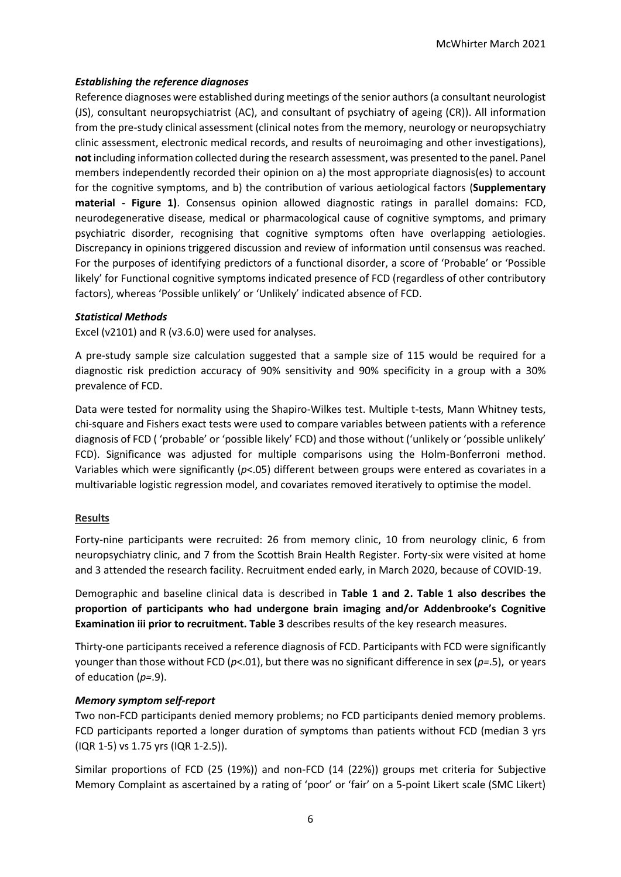# *Establishing the reference diagnoses*

Reference diagnoses were established during meetings of the senior authors (a consultant neurologist (JS), consultant neuropsychiatrist (AC), and consultant of psychiatry of ageing (CR)). All information from the pre-study clinical assessment (clinical notes from the memory, neurology or neuropsychiatry clinic assessment, electronic medical records, and results of neuroimaging and other investigations), **not** including information collected during the research assessment, was presented to the panel. Panel members independently recorded their opinion on a) the most appropriate diagnosis(es) to account for the cognitive symptoms, and b) the contribution of various aetiological factors (**Supplementary material - Figure 1)**. Consensus opinion allowed diagnostic ratings in parallel domains: FCD, neurodegenerative disease, medical or pharmacological cause of cognitive symptoms, and primary psychiatric disorder, recognising that cognitive symptoms often have overlapping aetiologies. Discrepancy in opinions triggered discussion and review of information until consensus was reached. For the purposes of identifying predictors of a functional disorder, a score of 'Probable' or 'Possible likely' for Functional cognitive symptoms indicated presence of FCD (regardless of other contributory factors), whereas 'Possible unlikely' or 'Unlikely' indicated absence of FCD.

#### *Statistical Methods*

Excel (v2101) and R (v3.6.0) were used for analyses.

A pre-study sample size calculation suggested that a sample size of 115 would be required for a diagnostic risk prediction accuracy of 90% sensitivity and 90% specificity in a group with a 30% prevalence of FCD.

Data were tested for normality using the Shapiro-Wilkes test. Multiple t-tests, Mann Whitney tests, chi-square and Fishers exact tests were used to compare variables between patients with a reference diagnosis of FCD ( 'probable' or 'possible likely' FCD) and those without ('unlikely or 'possible unlikely' FCD). Significance was adjusted for multiple comparisons using the Holm-Bonferroni method. Variables which were significantly (*p*<.05) different between groups were entered as covariates in a multivariable logistic regression model, and covariates removed iteratively to optimise the model.

# **Results**

Forty-nine participants were recruited: 26 from memory clinic, 10 from neurology clinic, 6 from neuropsychiatry clinic, and 7 from the Scottish Brain Health Register. Forty-six were visited at home and 3 attended the research facility. Recruitment ended early, in March 2020, because of COVID-19.

Demographic and baseline clinical data is described in **Table 1 and 2. Table 1 also describes the proportion of participants who had undergone brain imaging and/or Addenbrooke's Cognitive Examination iii prior to recruitment. Table 3** describes results of the key research measures.

Thirty-one participants received a reference diagnosis of FCD. Participants with FCD were significantly younger than those without FCD (*p*<.01), but there was no significant difference in sex (*p=*.5), or years of education (*p=*.9).

# *Memory symptom self-report*

Two non-FCD participants denied memory problems; no FCD participants denied memory problems. FCD participants reported a longer duration of symptoms than patients without FCD (median 3 yrs (IQR 1-5) vs 1.75 yrs (IQR 1-2.5)).

Similar proportions of FCD (25 (19%)) and non-FCD (14 (22%)) groups met criteria for Subjective Memory Complaint as ascertained by a rating of 'poor' or 'fair' on a 5-point Likert scale (SMC Likert)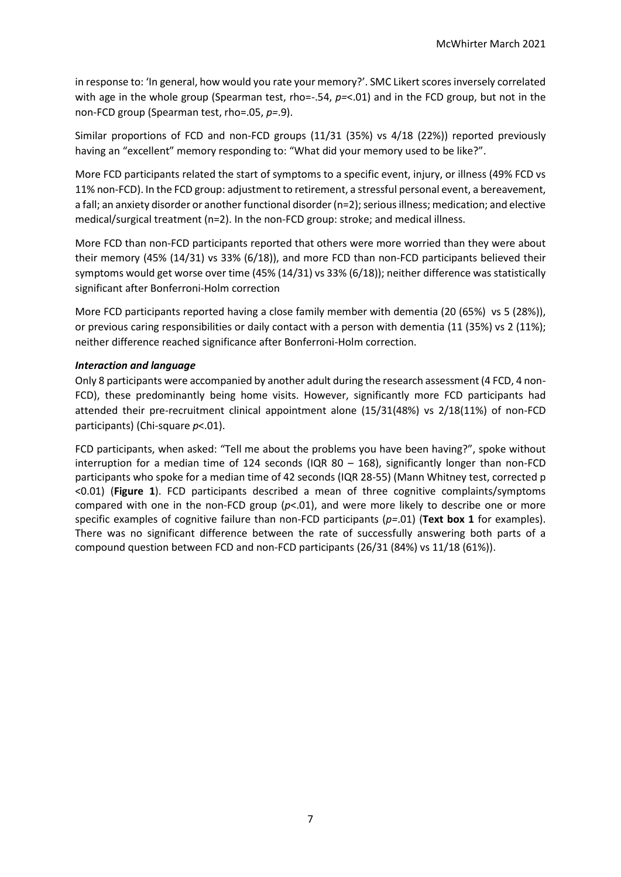in response to: 'In general, how would you rate your memory?'. SMC Likert scores inversely correlated with age in the whole group (Spearman test, rho=-.54, *p=*<.01) and in the FCD group, but not in the non-FCD group (Spearman test, rho=.05, *p=*.9).

Similar proportions of FCD and non-FCD groups (11/31 (35%) vs 4/18 (22%)) reported previously having an "excellent" memory responding to: "What did your memory used to be like?".

More FCD participants related the start of symptoms to a specific event, injury, or illness (49% FCD vs 11% non-FCD). In the FCD group: adjustment to retirement, a stressful personal event, a bereavement, a fall; an anxiety disorder or another functional disorder (n=2); serious illness; medication; and elective medical/surgical treatment (n=2). In the non-FCD group: stroke; and medical illness.

More FCD than non-FCD participants reported that others were more worried than they were about their memory (45% (14/31) vs 33% (6/18)), and more FCD than non-FCD participants believed their symptoms would get worse over time (45% (14/31) vs 33% (6/18)); neither difference was statistically significant after Bonferroni-Holm correction

More FCD participants reported having a close family member with dementia (20 (65%) vs 5 (28%)), or previous caring responsibilities or daily contact with a person with dementia (11 (35%) vs 2 (11%); neither difference reached significance after Bonferroni-Holm correction.

# *Interaction and language*

Only 8 participants were accompanied by another adult during the research assessment (4 FCD, 4 non-FCD), these predominantly being home visits. However, significantly more FCD participants had attended their pre-recruitment clinical appointment alone (15/31(48%) vs 2/18(11%) of non-FCD participants) (Chi-square *p*<.01).

FCD participants, when asked: "Tell me about the problems you have been having?", spoke without interruption for a median time of 124 seconds (IQR  $80 - 168$ ), significantly longer than non-FCD participants who spoke for a median time of 42 seconds (IQR 28-55) (Mann Whitney test, corrected p <0.01) (**Figure 1**). FCD participants described a mean of three cognitive complaints/symptoms compared with one in the non-FCD group (*p*<.01), and were more likely to describe one or more specific examples of cognitive failure than non-FCD participants (*p=*.01) (**Text box 1** for examples). There was no significant difference between the rate of successfully answering both parts of a compound question between FCD and non-FCD participants (26/31 (84%) vs 11/18 (61%)).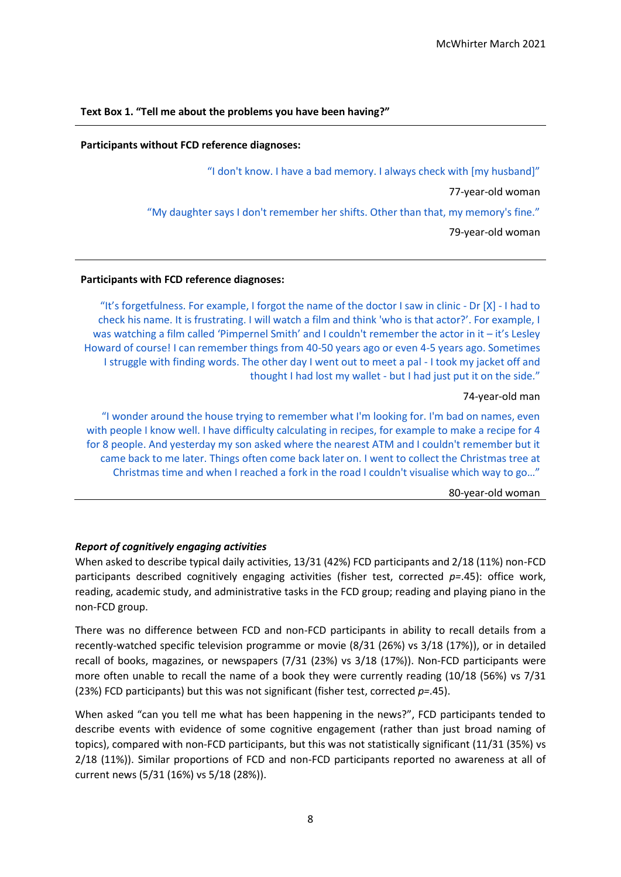#### **Participants without FCD reference diagnoses:**

"I don't know. I have a bad memory. I always check with [my husband]"

77-year-old woman

"My daughter says I don't remember her shifts. Other than that, my memory's fine."

79-year-old woman

#### **Participants with FCD reference diagnoses:**

"It's forgetfulness. For example, I forgot the name of the doctor I saw in clinic - Dr [X] - I had to check his name. It is frustrating. I will watch a film and think 'who is that actor?'. For example, I was watching a film called 'Pimpernel Smith' and I couldn't remember the actor in it – it's Lesley Howard of course! I can remember things from 40-50 years ago or even 4-5 years ago. Sometimes I struggle with finding words. The other day I went out to meet a pal - I took my jacket off and thought I had lost my wallet - but I had just put it on the side."

74-year-old man

"I wonder around the house trying to remember what I'm looking for. I'm bad on names, even with people I know well. I have difficulty calculating in recipes, for example to make a recipe for 4 for 8 people. And yesterday my son asked where the nearest ATM and I couldn't remember but it came back to me later. Things often come back later on. I went to collect the Christmas tree at Christmas time and when I reached a fork in the road I couldn't visualise which way to go…"

80-year-old woman

#### *Report of cognitively engaging activities*

When asked to describe typical daily activities, 13/31 (42%) FCD participants and 2/18 (11%) non-FCD participants described cognitively engaging activities (fisher test, corrected *p=*.45): office work, reading, academic study, and administrative tasks in the FCD group; reading and playing piano in the non-FCD group.

There was no difference between FCD and non-FCD participants in ability to recall details from a recently-watched specific television programme or movie (8/31 (26%) vs 3/18 (17%)), or in detailed recall of books, magazines, or newspapers (7/31 (23%) vs 3/18 (17%)). Non-FCD participants were more often unable to recall the name of a book they were currently reading (10/18 (56%) vs 7/31 (23%) FCD participants) but this was not significant (fisher test, corrected *p=*.45).

When asked "can you tell me what has been happening in the news?", FCD participants tended to describe events with evidence of some cognitive engagement (rather than just broad naming of topics), compared with non-FCD participants, but this was not statistically significant (11/31 (35%) vs 2/18 (11%)). Similar proportions of FCD and non-FCD participants reported no awareness at all of current news (5/31 (16%) vs 5/18 (28%)).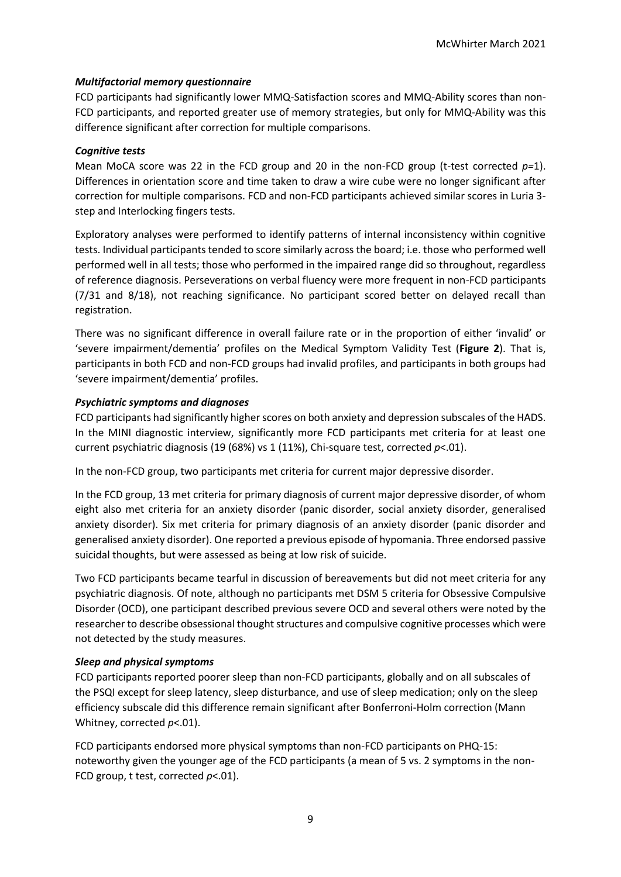# *Multifactorial memory questionnaire*

FCD participants had significantly lower MMQ-Satisfaction scores and MMQ-Ability scores than non-FCD participants, and reported greater use of memory strategies, but only for MMQ-Ability was this difference significant after correction for multiple comparisons.

### *Cognitive tests*

Mean MoCA score was 22 in the FCD group and 20 in the non-FCD group (t-test corrected *p=*1). Differences in orientation score and time taken to draw a wire cube were no longer significant after correction for multiple comparisons. FCD and non-FCD participants achieved similar scores in Luria 3 step and Interlocking fingers tests.

Exploratory analyses were performed to identify patterns of internal inconsistency within cognitive tests. Individual participants tended to score similarly across the board; i.e. those who performed well performed well in all tests; those who performed in the impaired range did so throughout, regardless of reference diagnosis. Perseverations on verbal fluency were more frequent in non-FCD participants (7/31 and 8/18), not reaching significance. No participant scored better on delayed recall than registration.

There was no significant difference in overall failure rate or in the proportion of either 'invalid' or 'severe impairment/dementia' profiles on the Medical Symptom Validity Test (**Figure 2**). That is, participants in both FCD and non-FCD groups had invalid profiles, and participants in both groups had 'severe impairment/dementia' profiles.

### *Psychiatric symptoms and diagnoses*

FCD participants had significantly higher scores on both anxiety and depression subscales of the HADS. In the MINI diagnostic interview, significantly more FCD participants met criteria for at least one current psychiatric diagnosis (19 (68%) vs 1 (11%), Chi-square test, corrected *p*<.01).

In the non-FCD group, two participants met criteria for current major depressive disorder.

In the FCD group, 13 met criteria for primary diagnosis of current major depressive disorder, of whom eight also met criteria for an anxiety disorder (panic disorder, social anxiety disorder, generalised anxiety disorder). Six met criteria for primary diagnosis of an anxiety disorder (panic disorder and generalised anxiety disorder). One reported a previous episode of hypomania. Three endorsed passive suicidal thoughts, but were assessed as being at low risk of suicide.

Two FCD participants became tearful in discussion of bereavements but did not meet criteria for any psychiatric diagnosis. Of note, although no participants met DSM 5 criteria for Obsessive Compulsive Disorder (OCD), one participant described previous severe OCD and several others were noted by the researcher to describe obsessional thought structures and compulsive cognitive processes which were not detected by the study measures.

# *Sleep and physical symptoms*

FCD participants reported poorer sleep than non-FCD participants, globally and on all subscales of the PSQI except for sleep latency, sleep disturbance, and use of sleep medication; only on the sleep efficiency subscale did this difference remain significant after Bonferroni-Holm correction (Mann Whitney, corrected  $p<.01$ ).

FCD participants endorsed more physical symptoms than non-FCD participants on PHQ-15: noteworthy given the younger age of the FCD participants (a mean of 5 vs. 2 symptoms in the non-FCD group, t test, corrected *p*<.01).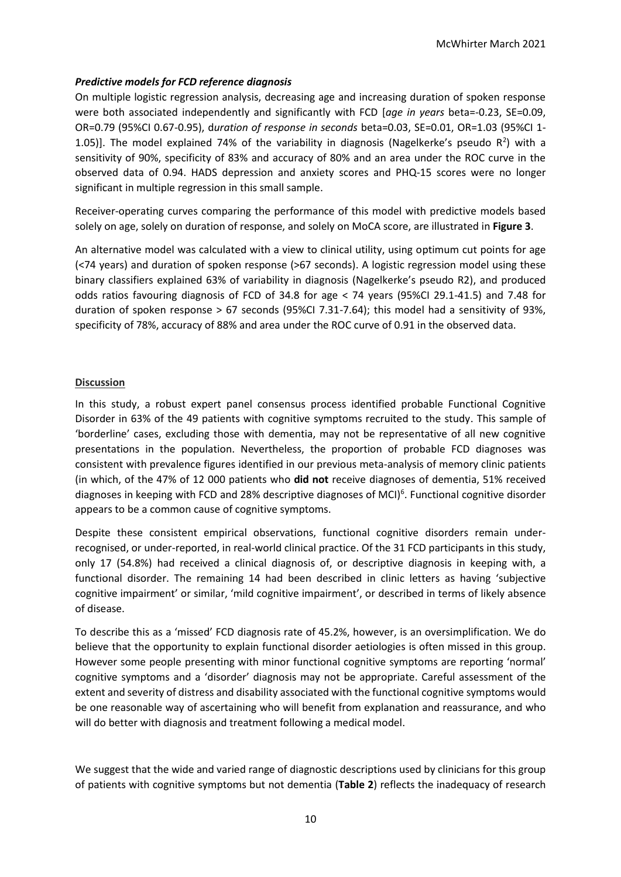# *Predictive models for FCD reference diagnosis*

On multiple logistic regression analysis, decreasing age and increasing duration of spoken response were both associated independently and significantly with FCD [*age in years* beta=-0.23, SE=0.09, OR=0.79 (95%CI 0.67-0.95), d*uration of response in seconds* beta=0.03, SE=0.01, OR=1.03 (95%CI 1- 1.05)]. The model explained 74% of the variability in diagnosis (Nagelkerke's pseudo  $R^2$ ) with a sensitivity of 90%, specificity of 83% and accuracy of 80% and an area under the ROC curve in the observed data of 0.94. HADS depression and anxiety scores and PHQ-15 scores were no longer significant in multiple regression in this small sample.

Receiver-operating curves comparing the performance of this model with predictive models based solely on age, solely on duration of response, and solely on MoCA score, are illustrated in **Figure 3**.

An alternative model was calculated with a view to clinical utility, using optimum cut points for age (<74 years) and duration of spoken response (>67 seconds). A logistic regression model using these binary classifiers explained 63% of variability in diagnosis (Nagelkerke's pseudo R2), and produced odds ratios favouring diagnosis of FCD of 34.8 for age < 74 years (95%CI 29.1-41.5) and 7.48 for duration of spoken response > 67 seconds (95%CI 7.31-7.64); this model had a sensitivity of 93%, specificity of 78%, accuracy of 88% and area under the ROC curve of 0.91 in the observed data.

### **Discussion**

In this study, a robust expert panel consensus process identified probable Functional Cognitive Disorder in 63% of the 49 patients with cognitive symptoms recruited to the study. This sample of 'borderline' cases, excluding those with dementia, may not be representative of all new cognitive presentations in the population. Nevertheless, the proportion of probable FCD diagnoses was consistent with prevalence figures identified in our previous meta-analysis of memory clinic patients (in which, of the 47% of 12 000 patients who **did not** receive diagnoses of dementia, 51% received diagnoses in keeping with FCD and 28% descriptive diagnoses of MCI)<sup>6</sup>. Functional cognitive disorder appears to be a common cause of cognitive symptoms.

Despite these consistent empirical observations, functional cognitive disorders remain underrecognised, or under-reported, in real-world clinical practice. Of the 31 FCD participants in this study, only 17 (54.8%) had received a clinical diagnosis of, or descriptive diagnosis in keeping with, a functional disorder. The remaining 14 had been described in clinic letters as having 'subjective cognitive impairment' or similar, 'mild cognitive impairment', or described in terms of likely absence of disease.

To describe this as a 'missed' FCD diagnosis rate of 45.2%, however, is an oversimplification. We do believe that the opportunity to explain functional disorder aetiologies is often missed in this group. However some people presenting with minor functional cognitive symptoms are reporting 'normal' cognitive symptoms and a 'disorder' diagnosis may not be appropriate. Careful assessment of the extent and severity of distress and disability associated with the functional cognitive symptoms would be one reasonable way of ascertaining who will benefit from explanation and reassurance, and who will do better with diagnosis and treatment following a medical model.

We suggest that the wide and varied range of diagnostic descriptions used by clinicians for this group of patients with cognitive symptoms but not dementia (**Table 2**) reflects the inadequacy of research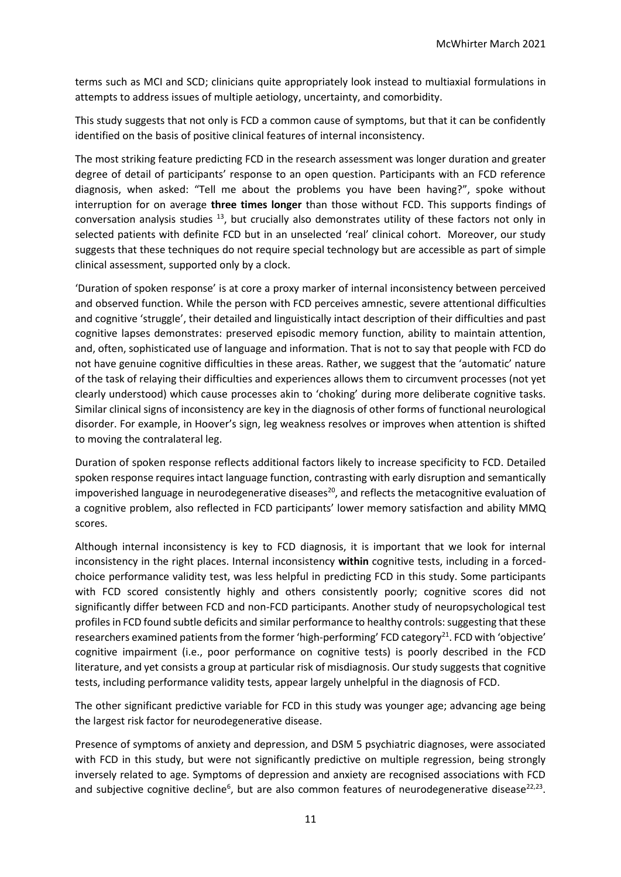terms such as MCI and SCD; clinicians quite appropriately look instead to multiaxial formulations in attempts to address issues of multiple aetiology, uncertainty, and comorbidity.

This study suggests that not only is FCD a common cause of symptoms, but that it can be confidently identified on the basis of positive clinical features of internal inconsistency.

The most striking feature predicting FCD in the research assessment was longer duration and greater degree of detail of participants' response to an open question. Participants with an FCD reference diagnosis, when asked: "Tell me about the problems you have been having?", spoke without interruption for on average **three times longer** than those without FCD. This supports findings of conversation analysis studies  $^{13}$ , but crucially also demonstrates utility of these factors not only in selected patients with definite FCD but in an unselected 'real' clinical cohort. Moreover, our study suggests that these techniques do not require special technology but are accessible as part of simple clinical assessment, supported only by a clock.

'Duration of spoken response' is at core a proxy marker of internal inconsistency between perceived and observed function. While the person with FCD perceives amnestic, severe attentional difficulties and cognitive 'struggle', their detailed and linguistically intact description of their difficulties and past cognitive lapses demonstrates: preserved episodic memory function, ability to maintain attention, and, often, sophisticated use of language and information. That is not to say that people with FCD do not have genuine cognitive difficulties in these areas. Rather, we suggest that the 'automatic' nature of the task of relaying their difficulties and experiences allows them to circumvent processes (not yet clearly understood) which cause processes akin to 'choking' during more deliberate cognitive tasks. Similar clinical signs of inconsistency are key in the diagnosis of other forms of functional neurological disorder. For example, in Hoover's sign, leg weakness resolves or improves when attention is shifted to moving the contralateral leg.

Duration of spoken response reflects additional factors likely to increase specificity to FCD. Detailed spoken response requires intact language function, contrasting with early disruption and semantically impoverished language in neurodegenerative diseases<sup>20</sup>, and reflects the metacognitive evaluation of a cognitive problem, also reflected in FCD participants' lower memory satisfaction and ability MMQ scores.

Although internal inconsistency is key to FCD diagnosis, it is important that we look for internal inconsistency in the right places. Internal inconsistency **within** cognitive tests, including in a forcedchoice performance validity test, was less helpful in predicting FCD in this study. Some participants with FCD scored consistently highly and others consistently poorly; cognitive scores did not significantly differ between FCD and non-FCD participants. Another study of neuropsychological test profiles in FCD found subtle deficits and similar performance to healthy controls: suggesting that these researchers examined patients from the former 'high-performing' FCD category<sup>21</sup>. FCD with 'objective' cognitive impairment (i.e., poor performance on cognitive tests) is poorly described in the FCD literature, and yet consists a group at particular risk of misdiagnosis. Our study suggests that cognitive tests, including performance validity tests, appear largely unhelpful in the diagnosis of FCD.

The other significant predictive variable for FCD in this study was younger age; advancing age being the largest risk factor for neurodegenerative disease.

Presence of symptoms of anxiety and depression, and DSM 5 psychiatric diagnoses, were associated with FCD in this study, but were not significantly predictive on multiple regression, being strongly inversely related to age. Symptoms of depression and anxiety are recognised associations with FCD and subjective cognitive decline<sup>6</sup>, but are also common features of neurodegenerative disease<sup>22,23</sup>.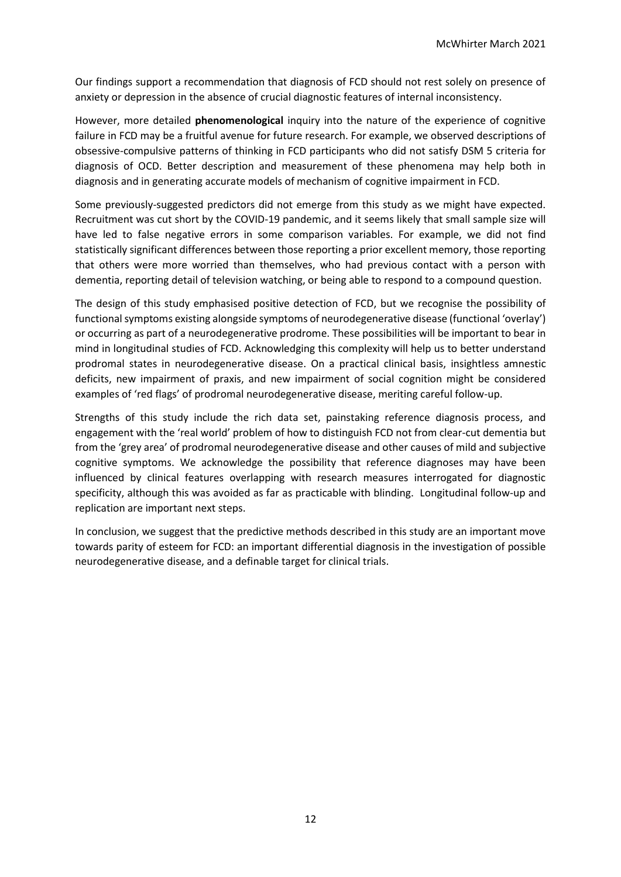Our findings support a recommendation that diagnosis of FCD should not rest solely on presence of anxiety or depression in the absence of crucial diagnostic features of internal inconsistency.

However, more detailed **phenomenological** inquiry into the nature of the experience of cognitive failure in FCD may be a fruitful avenue for future research. For example, we observed descriptions of obsessive-compulsive patterns of thinking in FCD participants who did not satisfy DSM 5 criteria for diagnosis of OCD. Better description and measurement of these phenomena may help both in diagnosis and in generating accurate models of mechanism of cognitive impairment in FCD.

Some previously-suggested predictors did not emerge from this study as we might have expected. Recruitment was cut short by the COVID-19 pandemic, and it seems likely that small sample size will have led to false negative errors in some comparison variables. For example, we did not find statistically significant differences between those reporting a prior excellent memory, those reporting that others were more worried than themselves, who had previous contact with a person with dementia, reporting detail of television watching, or being able to respond to a compound question.

The design of this study emphasised positive detection of FCD, but we recognise the possibility of functional symptoms existing alongside symptoms of neurodegenerative disease (functional 'overlay') or occurring as part of a neurodegenerative prodrome. These possibilities will be important to bear in mind in longitudinal studies of FCD. Acknowledging this complexity will help us to better understand prodromal states in neurodegenerative disease. On a practical clinical basis, insightless amnestic deficits, new impairment of praxis, and new impairment of social cognition might be considered examples of 'red flags' of prodromal neurodegenerative disease, meriting careful follow-up.

Strengths of this study include the rich data set, painstaking reference diagnosis process, and engagement with the 'real world' problem of how to distinguish FCD not from clear-cut dementia but from the 'grey area' of prodromal neurodegenerative disease and other causes of mild and subjective cognitive symptoms. We acknowledge the possibility that reference diagnoses may have been influenced by clinical features overlapping with research measures interrogated for diagnostic specificity, although this was avoided as far as practicable with blinding. Longitudinal follow-up and replication are important next steps.

In conclusion, we suggest that the predictive methods described in this study are an important move towards parity of esteem for FCD: an important differential diagnosis in the investigation of possible neurodegenerative disease, and a definable target for clinical trials.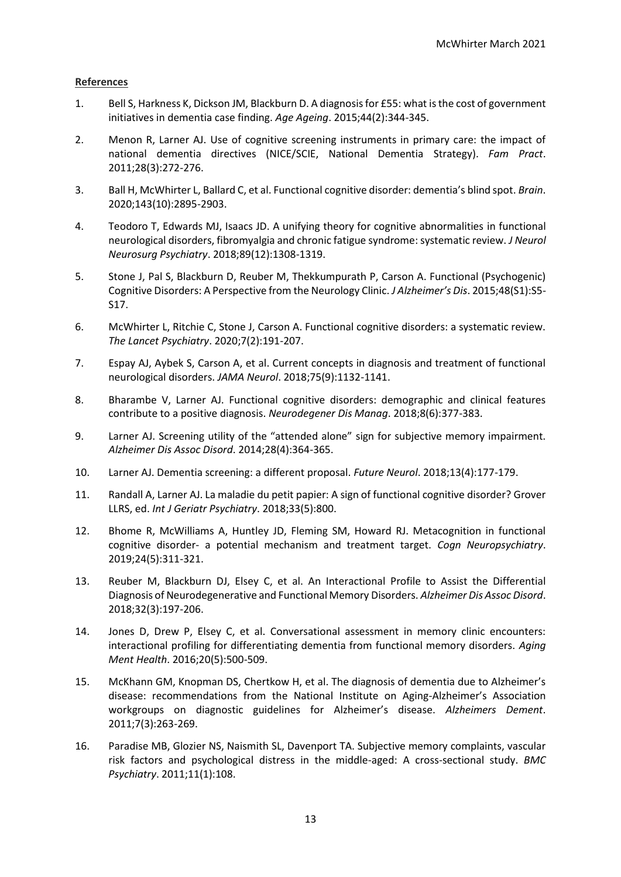### **References**

- 1. Bell S, Harkness K, Dickson JM, Blackburn D. A diagnosis for £55: what is the cost of government initiatives in dementia case finding. *Age Ageing*. 2015;44(2):344-345.
- 2. Menon R, Larner AJ. Use of cognitive screening instruments in primary care: the impact of national dementia directives (NICE/SCIE, National Dementia Strategy). *Fam Pract*. 2011;28(3):272-276.
- 3. Ball H, McWhirter L, Ballard C, et al. Functional cognitive disorder: dementia's blind spot. *Brain*. 2020;143(10):2895-2903.
- 4. Teodoro T, Edwards MJ, Isaacs JD. A unifying theory for cognitive abnormalities in functional neurological disorders, fibromyalgia and chronic fatigue syndrome: systematic review. *J Neurol Neurosurg Psychiatry*. 2018;89(12):1308-1319.
- 5. Stone J, Pal S, Blackburn D, Reuber M, Thekkumpurath P, Carson A. Functional (Psychogenic) Cognitive Disorders: A Perspective from the Neurology Clinic. *J Alzheimer's Dis*. 2015;48(S1):S5- S17.
- 6. McWhirter L, Ritchie C, Stone J, Carson A. Functional cognitive disorders: a systematic review. *The Lancet Psychiatry*. 2020;7(2):191-207.
- 7. Espay AJ, Aybek S, Carson A, et al. Current concepts in diagnosis and treatment of functional neurological disorders. *JAMA Neurol*. 2018;75(9):1132-1141.
- 8. Bharambe V, Larner AJ. Functional cognitive disorders: demographic and clinical features contribute to a positive diagnosis. *Neurodegener Dis Manag*. 2018;8(6):377-383.
- 9. Larner AJ. Screening utility of the "attended alone" sign for subjective memory impairment. *Alzheimer Dis Assoc Disord*. 2014;28(4):364-365.
- 10. Larner AJ. Dementia screening: a different proposal. *Future Neurol*. 2018;13(4):177-179.
- 11. Randall A, Larner AJ. La maladie du petit papier: A sign of functional cognitive disorder? Grover LLRS, ed. *Int J Geriatr Psychiatry*. 2018;33(5):800.
- 12. Bhome R, McWilliams A, Huntley JD, Fleming SM, Howard RJ. Metacognition in functional cognitive disorder- a potential mechanism and treatment target. *Cogn Neuropsychiatry*. 2019;24(5):311-321.
- 13. Reuber M, Blackburn DJ, Elsey C, et al. An Interactional Profile to Assist the Differential Diagnosis of Neurodegenerative and Functional Memory Disorders. *Alzheimer Dis Assoc Disord*. 2018;32(3):197-206.
- 14. Jones D, Drew P, Elsey C, et al. Conversational assessment in memory clinic encounters: interactional profiling for differentiating dementia from functional memory disorders. *Aging Ment Health*. 2016;20(5):500-509.
- 15. McKhann GM, Knopman DS, Chertkow H, et al. The diagnosis of dementia due to Alzheimer's disease: recommendations from the National Institute on Aging-Alzheimer's Association workgroups on diagnostic guidelines for Alzheimer's disease. *Alzheimers Dement*. 2011;7(3):263-269.
- 16. Paradise MB, Glozier NS, Naismith SL, Davenport TA. Subjective memory complaints, vascular risk factors and psychological distress in the middle-aged: A cross-sectional study. *BMC Psychiatry*. 2011;11(1):108.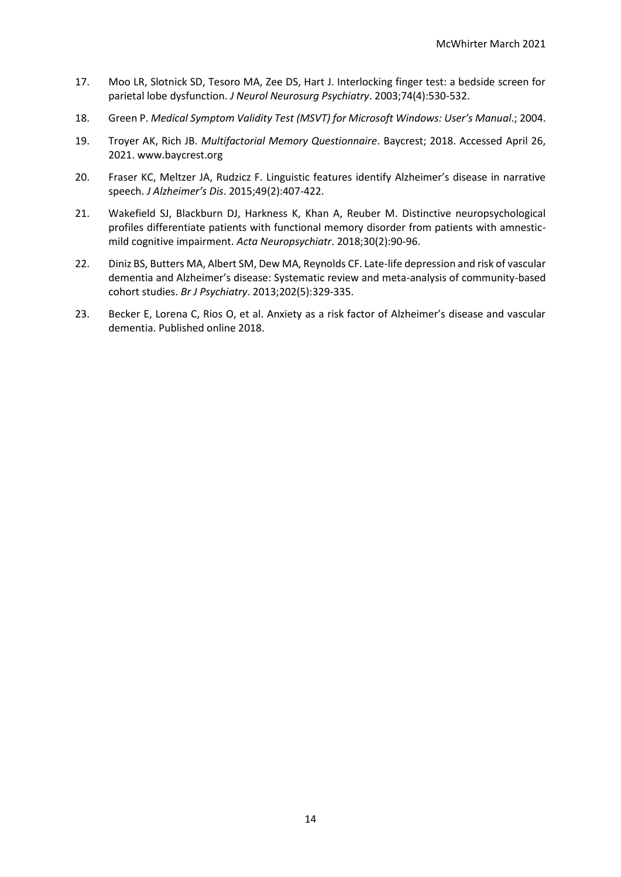- 17. Moo LR, Slotnick SD, Tesoro MA, Zee DS, Hart J. Interlocking finger test: a bedside screen for parietal lobe dysfunction. *J Neurol Neurosurg Psychiatry*. 2003;74(4):530-532.
- 18. Green P. *Medical Symptom Validity Test (MSVT) for Microsoft Windows: User's Manual*.; 2004.
- 19. Troyer AK, Rich JB. *Multifactorial Memory Questionnaire*. Baycrest; 2018. Accessed April 26, 2021. www.baycrest.org
- 20. Fraser KC, Meltzer JA, Rudzicz F. Linguistic features identify Alzheimer's disease in narrative speech. *J Alzheimer's Dis*. 2015;49(2):407-422.
- 21. Wakefield SJ, Blackburn DJ, Harkness K, Khan A, Reuber M. Distinctive neuropsychological profiles differentiate patients with functional memory disorder from patients with amnesticmild cognitive impairment. *Acta Neuropsychiatr*. 2018;30(2):90-96.
- 22. Diniz BS, Butters MA, Albert SM, Dew MA, Reynolds CF. Late-life depression and risk of vascular dementia and Alzheimer's disease: Systematic review and meta-analysis of community-based cohort studies. *Br J Psychiatry*. 2013;202(5):329-335.
- 23. Becker E, Lorena C, Rios O, et al. Anxiety as a risk factor of Alzheimer's disease and vascular dementia. Published online 2018.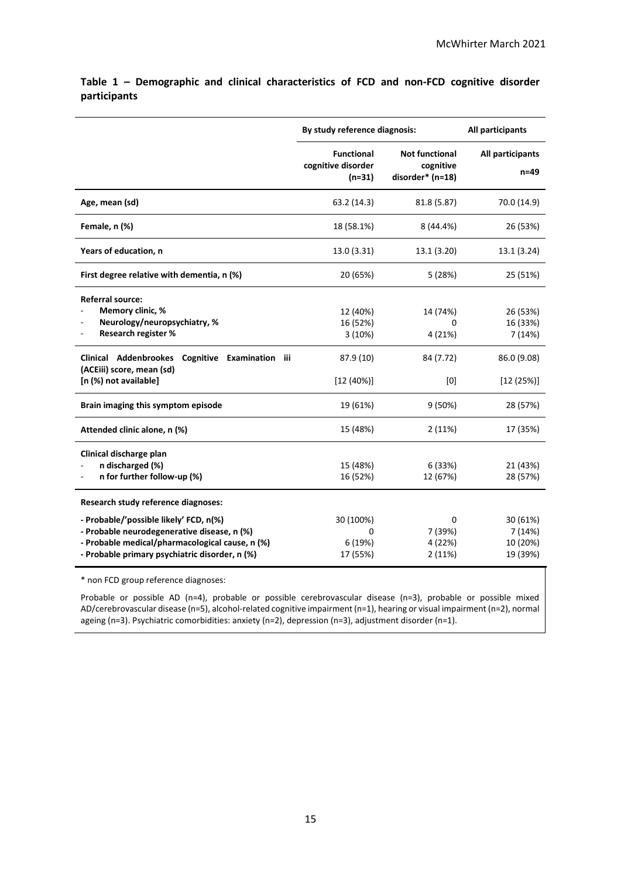|                                                                                                                                                                                            | By study reference diagnosis:                       | All participants                                       |                                            |
|--------------------------------------------------------------------------------------------------------------------------------------------------------------------------------------------|-----------------------------------------------------|--------------------------------------------------------|--------------------------------------------|
|                                                                                                                                                                                            | <b>Functional</b><br>cognitive disorder<br>$(n=31)$ | <b>Not functional</b><br>cognitive<br>disorder* (n=18) | All participants<br>$n=49$                 |
| Age, mean (sd)                                                                                                                                                                             | 63.2 (14.3)                                         | 81.8 (5.87)                                            | 70.0 (14.9)                                |
| Female, n (%)                                                                                                                                                                              | 18 (58.1%)                                          | 8 (44.4%)                                              | 26 (53%)                                   |
| Years of education, n                                                                                                                                                                      | 13.0 (3.31)                                         | 13.1 (3.20)                                            | 13.1 (3.24)                                |
| First degree relative with dementia, n (%)                                                                                                                                                 | 20 (65%)                                            | 5(28%)                                                 | 25 (51%)                                   |
| <b>Referral source:</b><br>Memory clinic, %<br>Neurology/neuropsychiatry, %<br>Research register %                                                                                         | 12 (40%)<br>16 (52%)<br>3(10%)                      | 14 (74%)<br>O<br>4 (21%)                               | 26 (53%)<br>16 (33%)<br>7(14%)             |
| Clinical Addenbrookes<br>Cognitive<br>Examination<br>iii<br>(ACEiii) score, mean (sd)<br>[n (%) not available]                                                                             | 87.9 (10)<br>$[12 (40\%)]$                          | 84 (7.72)<br>[0]                                       | 86.0 (9.08)<br>[12 (25%)]                  |
| Brain imaging this symptom episode                                                                                                                                                         | 19 (61%)                                            | 9(50%)                                                 | 28 (57%)                                   |
| Attended clinic alone, n (%)                                                                                                                                                               | 15 (48%)                                            | 2(11%)                                                 | 17 (35%)                                   |
| Clinical discharge plan<br>n discharged (%)<br>n for further follow-up (%)                                                                                                                 | 15 (48%)<br>16 (52%)                                | 6 (33%)<br>12 (67%)                                    | 21 (43%)<br>28 (57%)                       |
| Research study reference diagnoses:                                                                                                                                                        |                                                     |                                                        |                                            |
| - Probable/'possible likely' FCD, n(%)<br>- Probable neurodegenerative disease, n (%)<br>- Probable medical/pharmacological cause, n (%)<br>- Probable primary psychiatric disorder, n (%) | 30 (100%)<br>0<br>6 (19%)<br>17 (55%)               | 0<br>7 (39%)<br>4 (22%)<br>2(11%)                      | 30 (61%)<br>7(14%)<br>10 (20%)<br>19 (39%) |

**Table 1 – Demographic and clinical characteristics of FCD and non-FCD cognitive disorder participants**

\* non FCD group reference diagnoses:

Probable or possible AD (n=4), probable or possible cerebrovascular disease (n=3), probable or possible mixed AD/cerebrovascular disease (n=5), alcohol-related cognitive impairment (n=1), hearing or visual impairment (n=2), normal ageing (n=3). Psychiatric comorbidities: anxiety (n=2), depression (n=3), adjustment disorder (n=1).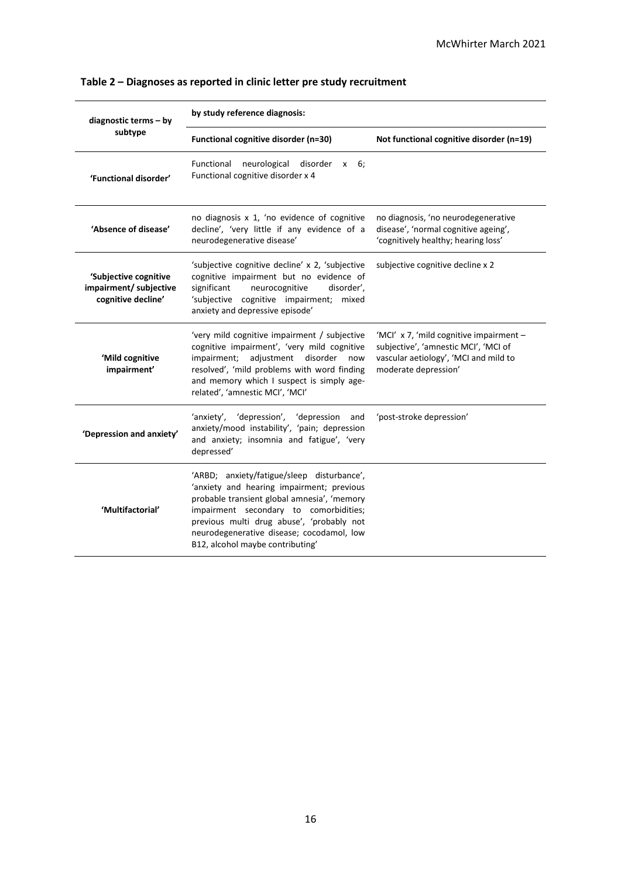| diagnostic terms - by                                                 | by study reference diagnosis:                                                                                                                                                                                                                                                                                  |                                                                                                                                                  |  |  |
|-----------------------------------------------------------------------|----------------------------------------------------------------------------------------------------------------------------------------------------------------------------------------------------------------------------------------------------------------------------------------------------------------|--------------------------------------------------------------------------------------------------------------------------------------------------|--|--|
| subtype                                                               | Functional cognitive disorder (n=30)                                                                                                                                                                                                                                                                           | Not functional cognitive disorder (n=19)                                                                                                         |  |  |
| 'Functional disorder'                                                 | neurological<br>Functional<br>disorder<br>6:<br>$\mathsf{x}$<br>Functional cognitive disorder x 4                                                                                                                                                                                                              |                                                                                                                                                  |  |  |
| 'Absence of disease'                                                  | no diagnosis x 1, 'no evidence of cognitive<br>decline', 'very little if any evidence of a<br>neurodegenerative disease'                                                                                                                                                                                       | no diagnosis, 'no neurodegenerative<br>disease', 'normal cognitive ageing',<br>'cognitively healthy; hearing loss'                               |  |  |
| 'Subjective cognitive<br>impairment/ subjective<br>cognitive decline' | 'subjective cognitive decline' x 2, 'subjective<br>cognitive impairment but no evidence of<br>significant<br>neurocognitive<br>disorder',<br>'subjective cognitive impairment; mixed<br>anxiety and depressive episode'                                                                                        | subjective cognitive decline x 2                                                                                                                 |  |  |
| 'Mild cognitive<br>impairment'                                        | 'very mild cognitive impairment / subjective<br>cognitive impairment', 'very mild cognitive<br>adjustment disorder<br>impairment;<br>now<br>resolved', 'mild problems with word finding<br>and memory which I suspect is simply age-<br>related', 'amnestic MCI', 'MCI'                                        | 'MCI' x 7, 'mild cognitive impairment -<br>subjective', 'amnestic MCI', 'MCI of<br>vascular aetiology', 'MCI and mild to<br>moderate depression' |  |  |
| 'Depression and anxiety'                                              | 'anxiety', 'depression', 'depression<br>and<br>anxiety/mood instability', 'pain; depression<br>and anxiety; insomnia and fatigue', 'very<br>depressed'                                                                                                                                                         | 'post-stroke depression'                                                                                                                         |  |  |
| 'Multifactorial'                                                      | 'ARBD; anxiety/fatigue/sleep disturbance',<br>'anxiety and hearing impairment; previous<br>probable transient global amnesia', 'memory<br>impairment secondary to comorbidities;<br>previous multi drug abuse', 'probably not<br>neurodegenerative disease; cocodamol, low<br>B12, alcohol maybe contributing' |                                                                                                                                                  |  |  |

# **Table 2 – Diagnoses as reported in clinic letter pre study recruitment**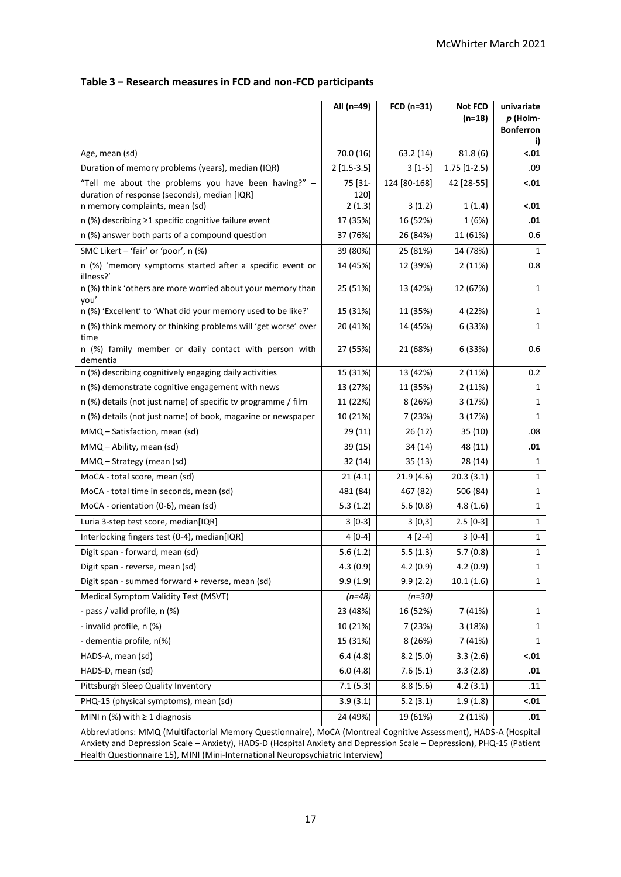# **Table 3 – Research measures in FCD and non-FCD participants**

|                                                                                                                  | All (n=49)     | FCD (n=31)   | <b>Not FCD</b>        | univariate                   |  |  |
|------------------------------------------------------------------------------------------------------------------|----------------|--------------|-----------------------|------------------------------|--|--|
|                                                                                                                  |                |              | $(n=18)$              | p (Holm-<br><b>Bonferron</b> |  |  |
|                                                                                                                  |                |              |                       | i)                           |  |  |
| Age, mean (sd)                                                                                                   | 70.0 (16)      | 63.2 (14)    | $\overline{81.8}$ (6) | $-.01$                       |  |  |
| Duration of memory problems (years), median (IQR)                                                                | $2[1.5-3.5]$   | $3[1-5]$     | $1.75$ [1-2.5)        | .09                          |  |  |
| "Tell me about the problems you have been having?" -                                                             | 75 [31-        | 124 [80-168] | 42 [28-55]            | $-.01$                       |  |  |
| duration of response (seconds), median [IQR]<br>n memory complaints, mean (sd)                                   | 120]<br>2(1.3) | 3(1.2)       | 1(1.4)                | $-.01$                       |  |  |
| n (%) describing ≥1 specific cognitive failure event                                                             | 17 (35%)       | 16 (52%)     | 1(6%)                 | .01                          |  |  |
| n (%) answer both parts of a compound question                                                                   | 37 (76%)       | 26 (84%)     | 11 (61%)              | 0.6                          |  |  |
| SMC Likert - 'fair' or 'poor', n (%)                                                                             | 39 (80%)       | 25 (81%)     | 14 (78%)              | 1                            |  |  |
| n (%) 'memory symptoms started after a specific event or                                                         |                |              |                       | 0.8                          |  |  |
| illness?'                                                                                                        | 14 (45%)       | 12 (39%)     | 2(11%)                |                              |  |  |
| n (%) think 'others are more worried about your memory than<br>you'                                              | 25 (51%)       | 13 (42%)     | 12 (67%)              | 1                            |  |  |
| n (%) 'Excellent' to 'What did your memory used to be like?'                                                     | 15 (31%)       | 11 (35%)     | 4 (22%)               | 1                            |  |  |
| n (%) think memory or thinking problems will 'get worse' over<br>time                                            | 20 (41%)       | 14 (45%)     | 6 (33%)               | 1                            |  |  |
| n (%) family member or daily contact with person with<br>dementia                                                | 27 (55%)       | 21 (68%)     | 6 (33%)               | 0.6                          |  |  |
| n (%) describing cognitively engaging daily activities                                                           | 15 (31%)       | 13 (42%)     | 2(11%)                | 0.2                          |  |  |
| n (%) demonstrate cognitive engagement with news                                                                 | 13 (27%)       | 11 (35%)     | 2(11%)                | 1                            |  |  |
| n (%) details (not just name) of specific tv programme / film                                                    | 11 (22%)       | 8(26%)       | 3 (17%)               | 1                            |  |  |
| n (%) details (not just name) of book, magazine or newspaper                                                     | 10 (21%)       | 7 (23%)      | 3 (17%)               | 1                            |  |  |
| MMQ - Satisfaction, mean (sd)                                                                                    | 29(11)         | 26(12)       | 35(10)                | .08                          |  |  |
| MMQ - Ability, mean (sd)                                                                                         | 39 (15)        | 34 (14)      | 48 (11)               | .01                          |  |  |
| MMQ - Strategy (mean (sd)                                                                                        | 32 (14)        | 35 (13)      | 28 (14)               | 1                            |  |  |
| MoCA - total score, mean (sd)                                                                                    | 21(4.1)        | 21.9(4.6)    | 20.3(3.1)             | $\mathbf{1}$                 |  |  |
| MoCA - total time in seconds, mean (sd)                                                                          | 481 (84)       | 467 (82)     | 506 (84)              | 1                            |  |  |
| MoCA - orientation (0-6), mean (sd)                                                                              | 5.3(1.2)       | 5.6(0.8)     | 4.8(1.6)              | 1                            |  |  |
| Luria 3-step test score, median[IQR]                                                                             | $3[0-3]$       | 3[0,3]       | $2.5$ [0-3]           | 1                            |  |  |
| Interlocking fingers test (0-4), median[IQR]                                                                     | $4[0-4]$       | $4[2-4]$     | $3[0-4]$              | $\mathbf{1}$                 |  |  |
| Digit span - forward, mean (sd)                                                                                  | 5.6(1.2)       | 5.5(1.3)     | 5.7(0.8)              | $\mathbf{1}$                 |  |  |
| Digit span - reverse, mean (sd)                                                                                  | 4.3(0.9)       | 4.2(0.9)     | 4.2(0.9)              | 1                            |  |  |
| Digit span - summed forward + reverse, mean (sd)                                                                 | 9.9(1.9)       | 9.9(2.2)     | 10.1(1.6)             | $\mathbf{1}$                 |  |  |
| Medical Symptom Validity Test (MSVT)                                                                             | $(n=48)$       | $(n=30)$     |                       |                              |  |  |
| - pass / valid profile, n (%)                                                                                    | 23 (48%)       | 16 (52%)     | 7 (41%)               | 1                            |  |  |
| - invalid profile, n (%)                                                                                         | 10 (21%)       | 7 (23%)      | 3(18%)                | 1                            |  |  |
| - dementia profile, n(%)                                                                                         | 15 (31%)       | 8(26%)       | 7 (41%)               | 1                            |  |  |
| HADS-A, mean (sd)                                                                                                | 6.4(4.8)       | 8.2(5.0)     | 3.3(2.6)              | $-.01$                       |  |  |
| HADS-D, mean (sd)                                                                                                | 6.0(4.8)       | 7.6(5.1)     | 3.3(2.8)              | .01                          |  |  |
| Pittsburgh Sleep Quality Inventory                                                                               | 7.1(5.3)       | 8.8(5.6)     | 4.2(3.1)              | .11                          |  |  |
| PHQ-15 (physical symptoms), mean (sd)                                                                            | 3.9(3.1)       | 5.2(3.1)     | 1.9(1.8)              | $-.01$                       |  |  |
| MINI n $(\%)$ with $\geq 1$ diagnosis                                                                            | 24 (49%)       | 19 (61%)     | 2(11%)                | .01                          |  |  |
| Abbreviations: MMQ (Multifactorial Memory Questionnaire), MoCA (Montreal Cognitive Assessment), HADS-A (Hospital |                |              |                       |                              |  |  |

Abbreviations: MMQ (Multifactorial Memory Questionnaire), MoCA (Montreal Cognitive Assessment), HADS-A (Hospital Anxiety and Depression Scale – Anxiety), HADS-D (Hospital Anxiety and Depression Scale – Depression), PHQ-15 (Patient Health Questionnaire 15), MINI (Mini-International Neuropsychiatric Interview)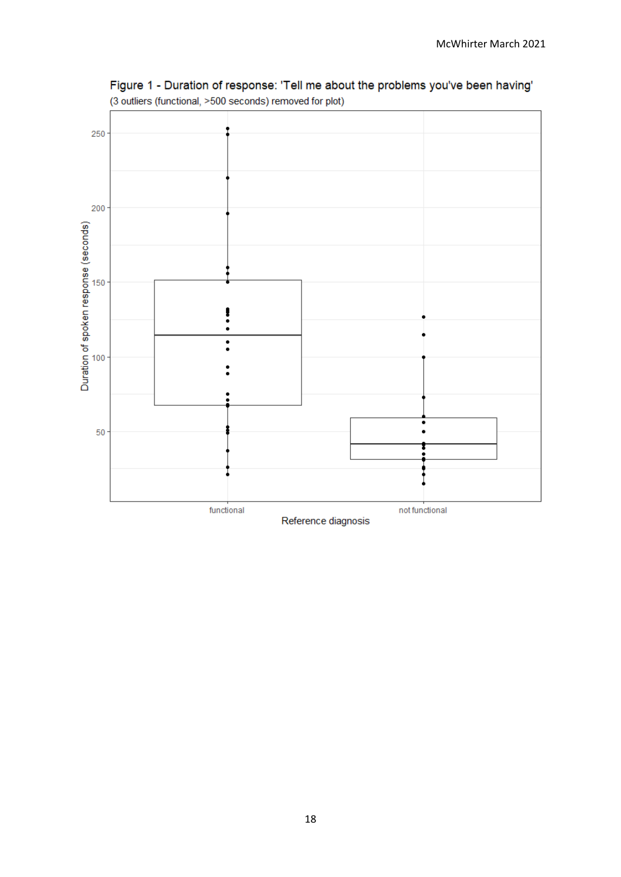

Figure 1 - Duration of response: 'Tell me about the problems you've been having' (3 outliers (functional, >500 seconds) removed for plot)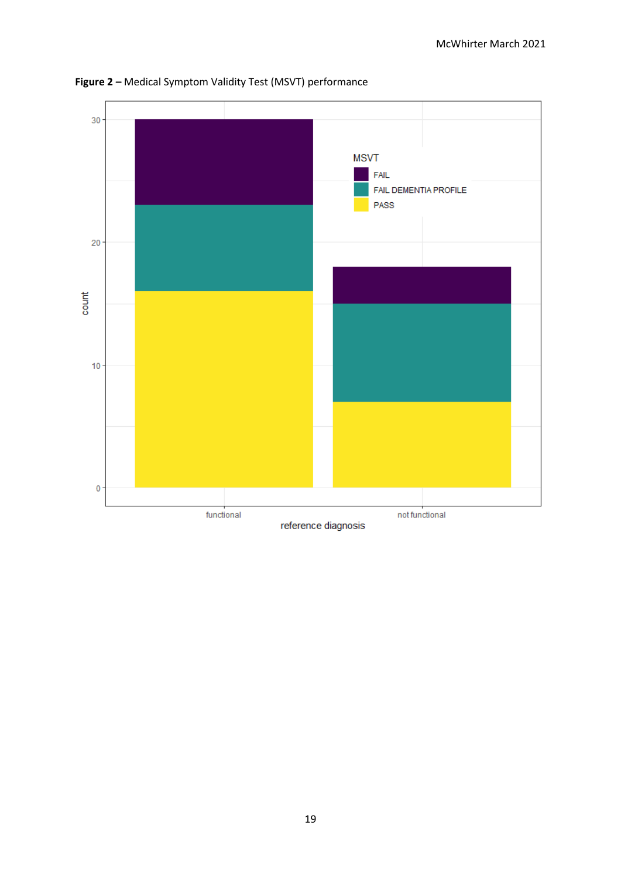